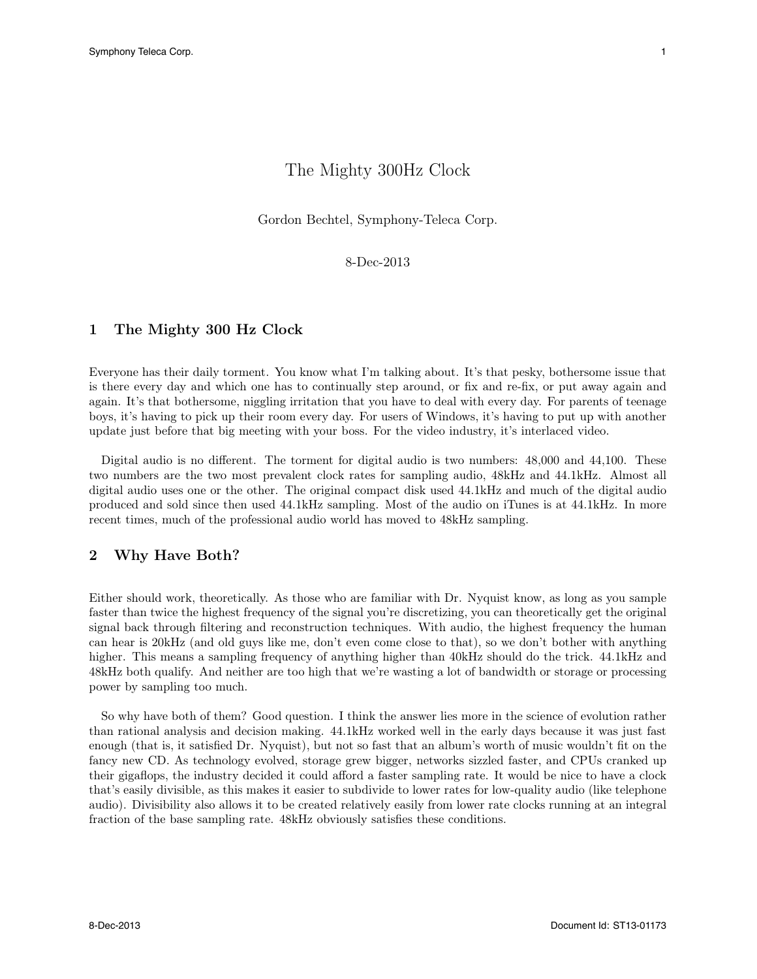# The Mighty 300Hz Clock

Gordon Bechtel, Symphony-Teleca Corp.

8-Dec-2013

#### 1 The Mighty 300 Hz Clock

Everyone has their daily torment. You know what I'm talking about. It's that pesky, bothersome issue that is there every day and which one has to continually step around, or fix and re-fix, or put away again and again. It's that bothersome, niggling irritation that you have to deal with every day. For parents of teenage boys, it's having to pick up their room every day. For users of Windows, it's having to put up with another update just before that big meeting with your boss. For the video industry, it's interlaced video.

Digital audio is no different. The torment for digital audio is two numbers: 48,000 and 44,100. These two numbers are the two most prevalent clock rates for sampling audio, 48kHz and 44.1kHz. Almost all digital audio uses one or the other. The original compact disk used 44.1kHz and much of the digital audio produced and sold since then used 44.1kHz sampling. Most of the audio on iTunes is at 44.1kHz. In more recent times, much of the professional audio world has moved to 48kHz sampling.

#### 2 Why Have Both?

Either should work, theoretically. As those who are familiar with Dr. Nyquist know, as long as you sample faster than twice the highest frequency of the signal you're discretizing, you can theoretically get the original signal back through filtering and reconstruction techniques. With audio, the highest frequency the human can hear is 20kHz (and old guys like me, don't even come close to that), so we don't bother with anything higher. This means a sampling frequency of anything higher than 40kHz should do the trick. 44.1kHz and 48kHz both qualify. And neither are too high that we're wasting a lot of bandwidth or storage or processing power by sampling too much.

So why have both of them? Good question. I think the answer lies more in the science of evolution rather than rational analysis and decision making. 44.1kHz worked well in the early days because it was just fast enough (that is, it satisfied Dr. Nyquist), but not so fast that an album's worth of music wouldn't fit on the fancy new CD. As technology evolved, storage grew bigger, networks sizzled faster, and CPUs cranked up their gigaflops, the industry decided it could afford a faster sampling rate. It would be nice to have a clock that's easily divisible, as this makes it easier to subdivide to lower rates for low-quality audio (like telephone audio). Divisibility also allows it to be created relatively easily from lower rate clocks running at an integral fraction of the base sampling rate. 48kHz obviously satisfies these conditions.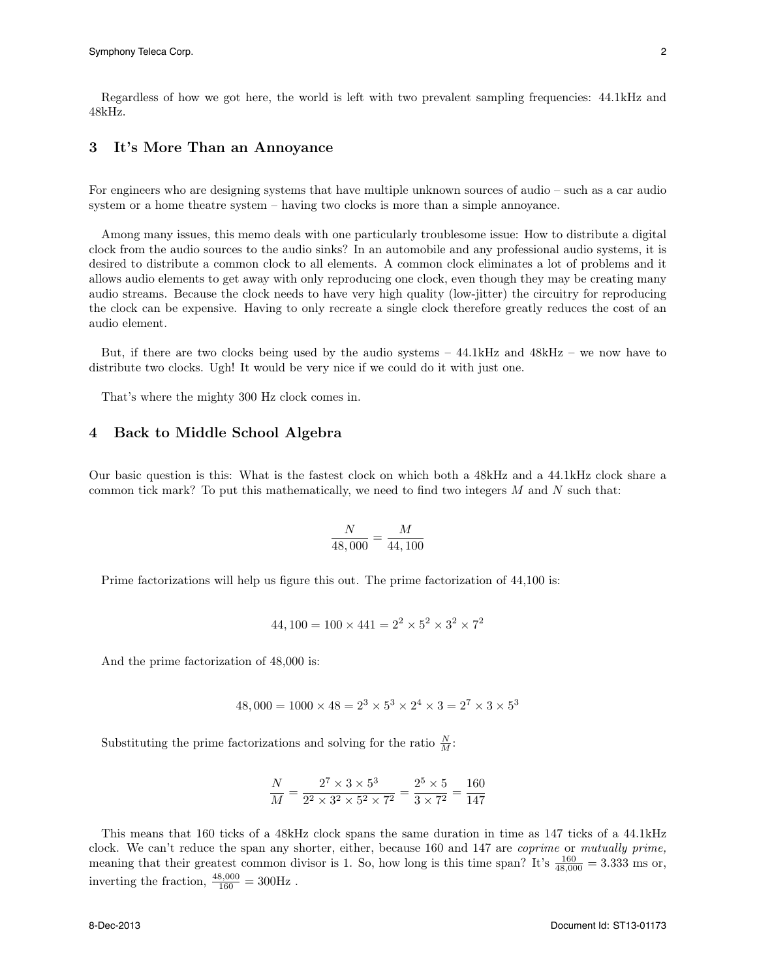Regardless of how we got here, the world is left with two prevalent sampling frequencies: 44.1kHz and 48kHz.

### 3 It's More Than an Annoyance

For engineers who are designing systems that have multiple unknown sources of audio – such as a car audio system or a home theatre system – having two clocks is more than a simple annoyance.

Among many issues, this memo deals with one particularly troublesome issue: How to distribute a digital clock from the audio sources to the audio sinks? In an automobile and any professional audio systems, it is desired to distribute a common clock to all elements. A common clock eliminates a lot of problems and it allows audio elements to get away with only reproducing one clock, even though they may be creating many audio streams. Because the clock needs to have very high quality (low-jitter) the circuitry for reproducing the clock can be expensive. Having to only recreate a single clock therefore greatly reduces the cost of an audio element.

But, if there are two clocks being used by the audio systems – 44.1kHz and 48kHz – we now have to distribute two clocks. Ugh! It would be very nice if we could do it with just one.

That's where the mighty 300 Hz clock comes in.

#### 4 Back to Middle School Algebra

Our basic question is this: What is the fastest clock on which both a 48kHz and a 44.1kHz clock share a common tick mark? To put this mathematically, we need to find two integers *M* and *N* such that:

$$
\frac{N}{48,000} = \frac{M}{44,100}
$$

Prime factorizations will help us figure this out. The prime factorization of 44,100 is:

$$
44,100 = 100 \times 441 = 2^2 \times 5^2 \times 3^2 \times 7^2
$$

And the prime factorization of 48,000 is:

$$
48,000 = 1000 \times 48 = 2^3 \times 5^3 \times 2^4 \times 3 = 2^7 \times 3 \times 5^3
$$

Substituting the prime factorizations and solving for the ratio  $\frac{N}{M}$ :

$$
\frac{N}{M} = \frac{2^7 \times 3 \times 5^3}{2^2 \times 3^2 \times 5^2 \times 7^2} = \frac{2^5 \times 5}{3 \times 7^2} = \frac{160}{147}
$$

This means that 160 ticks of a 48kHz clock spans the same duration in time as 147 ticks of a 44.1kHz clock. We can't reduce the span any shorter, either, because 160 and 147 are *coprime* or *mutually prime,* meaning that their greatest common divisor is 1. So, how long is this time span? It's  $\frac{160}{48,000} = 3.333$  ms or, inverting the fraction,  $\frac{48,000}{160} = 300$ Hz.